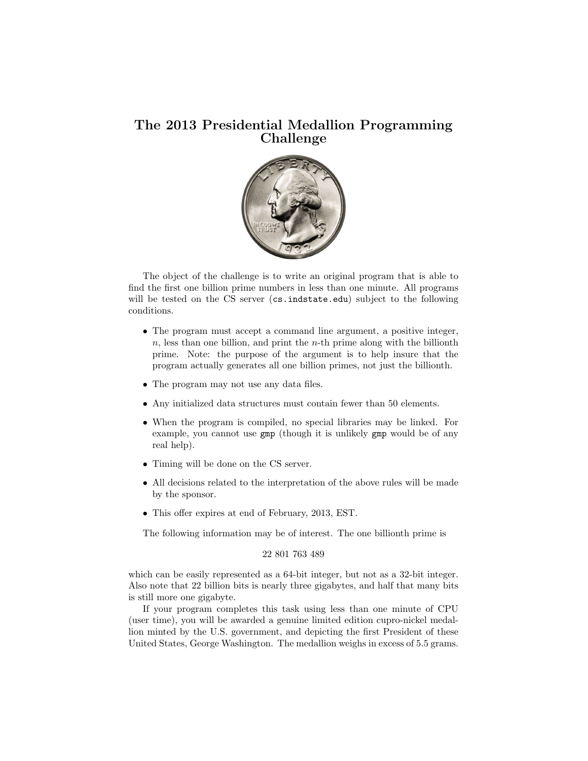## The 2013 Presidential Medallion Programming Challenge



The object of the challenge is to write an original program that is able to find the first one billion prime numbers in less than one minute. All programs will be tested on the CS server (cs.indstate.edu) subject to the following conditions.

- The program must accept a command line argument, a positive integer,  $n$ , less than one billion, and print the  $n$ -th prime along with the billionth prime. Note: the purpose of the argument is to help insure that the program actually generates all one billion primes, not just the billionth.
- The program may not use any data files.
- Any initialized data structures must contain fewer than 50 elements.
- When the program is compiled, no special libraries may be linked. For example, you cannot use gmp (though it is unlikely gmp would be of any real help).
- Timing will be done on the CS server.
- All decisions related to the interpretation of the above rules will be made by the sponsor.
- This offer expires at end of February, 2013, EST.

The following information may be of interest. The one billionth prime is

```
22 801 763 489
```
which can be easily represented as a 64-bit integer, but not as a 32-bit integer. Also note that 22 billion bits is nearly three gigabytes, and half that many bits is still more one gigabyte.

If your program completes this task using less than one minute of CPU (user time), you will be awarded a genuine limited edition cupro-nickel medallion minted by the U.S. government, and depicting the first President of these United States, George Washington. The medallion weighs in excess of 5.5 grams.